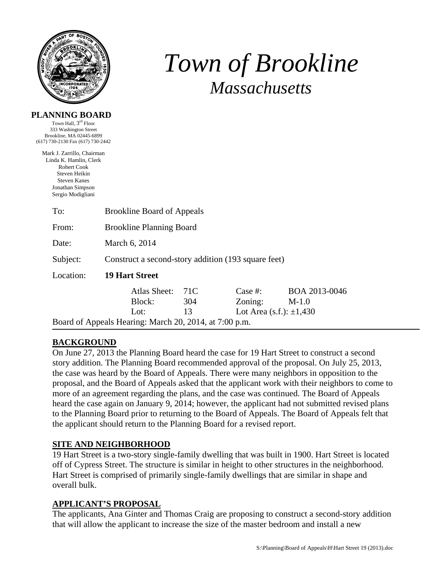

**PLANNING BOARD**  Town Hall, 3<sup>rd</sup> Floor

# *Town of Brookline Massachusetts*

| 333 Washington Street<br>Brookline, MA 02445-6899<br>(617) 730-2130 Fax (617) 730-2442                                                               |                                                        |     |                              |               |  |  |
|------------------------------------------------------------------------------------------------------------------------------------------------------|--------------------------------------------------------|-----|------------------------------|---------------|--|--|
| Mark J. Zarrillo, Chairman<br>Linda K. Hamlin, Clerk<br>Robert Cook<br>Steven Heikin<br><b>Steven Kanes</b><br>Jonathan Simpson<br>Sergio Modigliani |                                                        |     |                              |               |  |  |
| To:                                                                                                                                                  | <b>Brookline Board of Appeals</b>                      |     |                              |               |  |  |
| From:                                                                                                                                                | <b>Brookline Planning Board</b>                        |     |                              |               |  |  |
| Date:                                                                                                                                                | March 6, 2014                                          |     |                              |               |  |  |
| Subject:                                                                                                                                             | Construct a second-story addition (193 square feet)    |     |                              |               |  |  |
| Location:                                                                                                                                            | <b>19 Hart Street</b>                                  |     |                              |               |  |  |
|                                                                                                                                                      | Atlas Sheet:                                           | 71C | Case #:                      | BOA 2013-0046 |  |  |
|                                                                                                                                                      | Block:                                                 | 304 | Zoning:                      | $M-1.0$       |  |  |
|                                                                                                                                                      | Lot:                                                   | 13  | Lot Area (s.f.): $\pm 1,430$ |               |  |  |
|                                                                                                                                                      | Board of Appeals Hearing: March 20, 2014, at 7:00 p.m. |     |                              |               |  |  |

## **BACKGROUND**

On June 27, 2013 the Planning Board heard the case for 19 Hart Street to construct a second story addition. The Planning Board recommended approval of the proposal. On July 25, 2013, the case was heard by the Board of Appeals. There were many neighbors in opposition to the proposal, and the Board of Appeals asked that the applicant work with their neighbors to come to more of an agreement regarding the plans, and the case was continued. The Board of Appeals heard the case again on January 9, 2014; however, the applicant had not submitted revised plans to the Planning Board prior to returning to the Board of Appeals. The Board of Appeals felt that the applicant should return to the Planning Board for a revised report.

## **SITE AND NEIGHBORHOOD**

19 Hart Street is a two-story single-family dwelling that was built in 1900. Hart Street is located off of Cypress Street. The structure is similar in height to other structures in the neighborhood. Hart Street is comprised of primarily single-family dwellings that are similar in shape and overall bulk.

#### **APPLICANT'S PROPOSAL**

The applicants, Ana Ginter and Thomas Craig are proposing to construct a second-story addition that will allow the applicant to increase the size of the master bedroom and install a new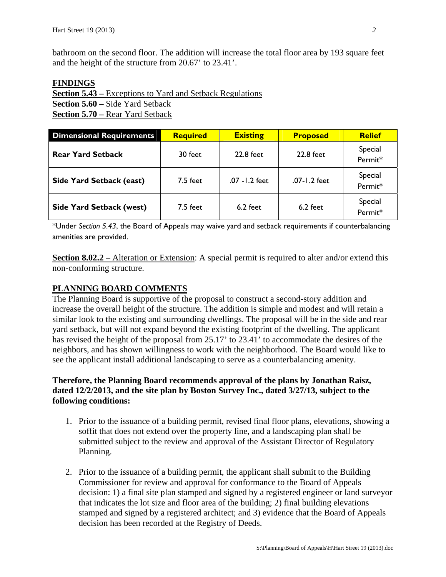bathroom on the second floor. The addition will increase the total floor area by 193 square feet and the height of the structure from 20.67' to 23.41'.

#### **FINDINGS**

**Section 5.43 –** Exceptions to Yard and Setback Regulations **Section 5.60 –** Side Yard Setback **Section 5.70 –** Rear Yard Setback

| <b>Dimensional Requirements</b> | <b>Required</b> | <b>Existing</b> | <b>Proposed</b> | <b>Relief</b>      |
|---------------------------------|-----------------|-----------------|-----------------|--------------------|
| <b>Rear Yard Setback</b>        | 30 feet         | 22.8 feet       | 22.8 feet       | Special<br>Permit* |
| <b>Side Yard Setback (east)</b> | 7.5 feet        | .07 - I.2 feet  | .07-1.2 feet    | Special<br>Permit* |
| <b>Side Yard Setback (west)</b> | $7.5$ feet      | $6.2$ feet      | $6.2$ feet      | Special<br>Permit* |

\*Under *Section 5.43*, the Board of Appeals may waive yard and setback requirements if counterbalancing amenities are provided.

**Section 8.02.2** – Alteration or Extension: A special permit is required to alter and/or extend this non-conforming structure.

## **PLANNING BOARD COMMENTS**

The Planning Board is supportive of the proposal to construct a second-story addition and increase the overall height of the structure. The addition is simple and modest and will retain a similar look to the existing and surrounding dwellings. The proposal will be in the side and rear yard setback, but will not expand beyond the existing footprint of the dwelling. The applicant has revised the height of the proposal from 25.17' to 23.41' to accommodate the desires of the neighbors, and has shown willingness to work with the neighborhood. The Board would like to see the applicant install additional landscaping to serve as a counterbalancing amenity.

## **Therefore, the Planning Board recommends approval of the plans by Jonathan Raisz, dated 12/2/2013, and the site plan by Boston Survey Inc., dated 3/27/13, subject to the following conditions:**

- 1. Prior to the issuance of a building permit, revised final floor plans, elevations, showing a soffit that does not extend over the property line, and a landscaping plan shall be submitted subject to the review and approval of the Assistant Director of Regulatory Planning.
- 2. Prior to the issuance of a building permit, the applicant shall submit to the Building Commissioner for review and approval for conformance to the Board of Appeals decision: 1) a final site plan stamped and signed by a registered engineer or land surveyor that indicates the lot size and floor area of the building; 2) final building elevations stamped and signed by a registered architect; and 3) evidence that the Board of Appeals decision has been recorded at the Registry of Deeds.